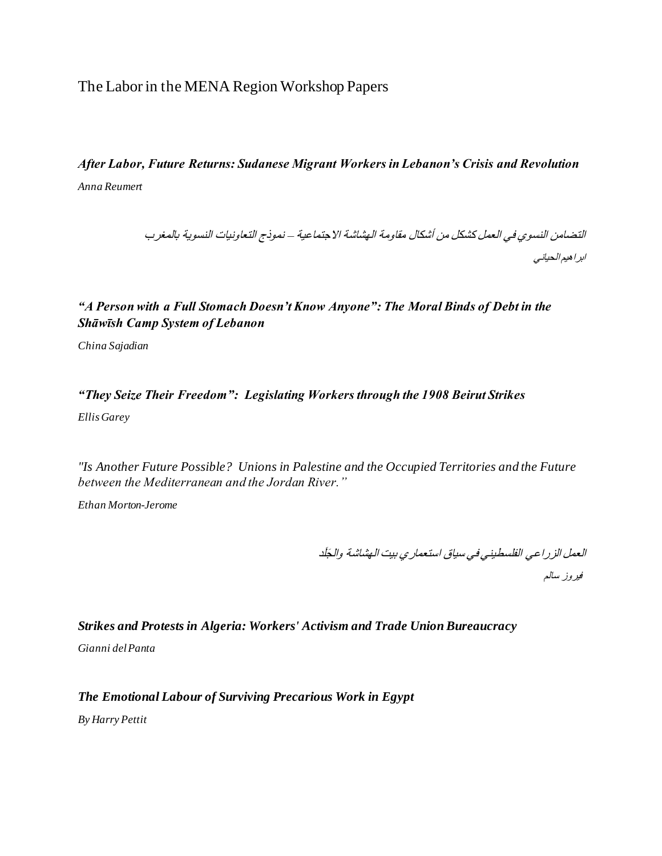The Labor in the MENA Region Workshop Papers

# *After Labor, Future Returns: Sudanese Migrant Workers in Lebanon's Crisis and Revolution Anna Reumert*

التضامن النسوي في العمل كشكل من أشكال مقاومة الهشاشة االجتماعية – نموذج التعاونيات النسوية بالمغرب ابراهيم الحياني

## *"A Person with a Full Stomach Doesn't Know Anyone": The Moral Binds of Debt in the Shāwīsh Camp System of Lebanon*

*China Sajadian*

## *"They Seize Their Freedom": Legislating Workers through the 1908 Beirut Strikes Ellis Garey*

*"Is Another Future Possible? Unions in Palestine and the Occupied Territories and the Future between the Mediterranean and the Jordan River."*

*Ethan Morton-Jerome*

العمل الزراعي الفلسطيني في سياق استعماري بيت الهشاشة وال َجَلد

فيروز سالم

#### *Strikes and Protests in Algeria: Workers' Activism and Trade Union Bureaucracy*

*Gianni del Panta*

#### *The Emotional Labour of Surviving Precarious Work in Egypt*

*By Harry Pettit*